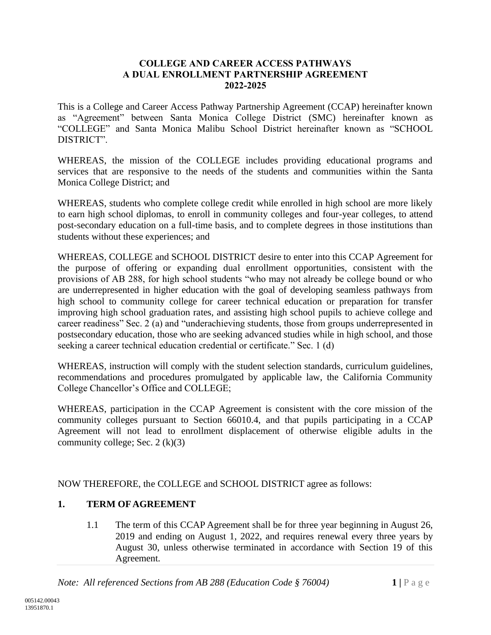#### **COLLEGE AND CAREER ACCESS PATHWAYS A DUAL ENROLLMENT PARTNERSHIP AGREEMENT 2022-2025**

This is a College and Career Access Pathway Partnership Agreement (CCAP) hereinafter known as "Agreement" between Santa Monica College District (SMC) hereinafter known as "COLLEGE" and Santa Monica Malibu School District hereinafter known as "SCHOOL DISTRICT".

WHEREAS, the mission of the COLLEGE includes providing educational programs and services that are responsive to the needs of the students and communities within the Santa Monica College District; and

WHEREAS, students who complete college credit while enrolled in high school are more likely to earn high school diplomas, to enroll in community colleges and four-year colleges, to attend post-secondary education on a full-time basis, and to complete degrees in those institutions than students without these experiences; and

WHEREAS, COLLEGE and SCHOOL DISTRICT desire to enter into this CCAP Agreement for the purpose of offering or expanding dual enrollment opportunities, consistent with the provisions of AB 288, for high school students "who may not already be college bound or who are underrepresented in higher education with the goal of developing seamless pathways from high school to community college for career technical education or preparation for transfer improving high school graduation rates, and assisting high school pupils to achieve college and career readiness" Sec. 2 (a) and "underachieving students, those from groups underrepresented in postsecondary education, those who are seeking advanced studies while in high school, and those seeking a career technical education credential or certificate." Sec. 1 (d)

WHEREAS, instruction will comply with the student selection standards, curriculum guidelines, recommendations and procedures promulgated by applicable law, the California Community College Chancellor's Office and COLLEGE;

WHEREAS, participation in the CCAP Agreement is consistent with the core mission of the community colleges pursuant to Section 66010.4, and that pupils participating in a CCAP Agreement will not lead to enrollment displacement of otherwise eligible adults in the community college; Sec.  $2(k)(3)$ 

NOW THEREFORE, the COLLEGE and SCHOOL DISTRICT agree as follows:

# **1. TERM OF AGREEMENT**

1.1 The term of this CCAP Agreement shall be for three year beginning in August 26, 2019 and ending on August 1, 2022, and requires renewal every three years by August 30, unless otherwise terminated in accordance with Section 19 of this Agreement.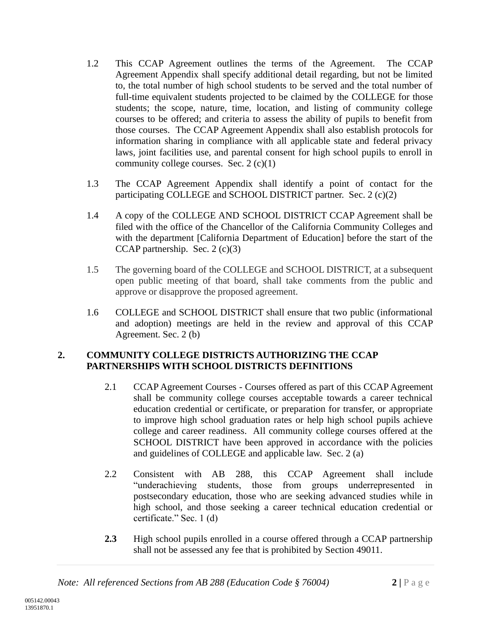- 1.2 This CCAP Agreement outlines the terms of the Agreement. The CCAP Agreement Appendix shall specify additional detail regarding, but not be limited to, the total number of high school students to be served and the total number of full-time equivalent students projected to be claimed by the COLLEGE for those students; the scope, nature, time, location, and listing of community college courses to be offered; and criteria to assess the ability of pupils to benefit from those courses. The CCAP Agreement Appendix shall also establish protocols for information sharing in compliance with all applicable state and federal privacy laws, joint facilities use, and parental consent for high school pupils to enroll in community college courses. Sec. 2 (c)(1)
- 1.3 The CCAP Agreement Appendix shall identify a point of contact for the participating COLLEGE and SCHOOL DISTRICT partner. Sec. 2 (c)(2)
- 1.4 A copy of the COLLEGE AND SCHOOL DISTRICT CCAP Agreement shall be filed with the office of the Chancellor of the California Community Colleges and with the department [California Department of Education] before the start of the CCAP partnership. Sec. 2 (c)(3)
- 1.5 The governing board of the COLLEGE and SCHOOL DISTRICT, at a subsequent open public meeting of that board, shall take comments from the public and approve or disapprove the proposed agreement.
- 1.6 COLLEGE and SCHOOL DISTRICT shall ensure that two public (informational and adoption) meetings are held in the review and approval of this CCAP Agreement. Sec. 2 (b)

## **2. COMMUNITY COLLEGE DISTRICTS AUTHORIZING THE CCAP PARTNERSHIPS WITH SCHOOL DISTRICTS DEFINITIONS**

- 2.1 CCAP Agreement Courses Courses offered as part of this CCAP Agreement shall be community college courses acceptable towards a career technical education credential or certificate, or preparation for transfer, or appropriate to improve high school graduation rates or help high school pupils achieve college and career readiness. All community college courses offered at the SCHOOL DISTRICT have been approved in accordance with the policies and guidelines of COLLEGE and applicable law. Sec. 2 (a)
- 2.2 Consistent with AB 288, this CCAP Agreement shall include "underachieving students, those from groups underrepresented in postsecondary education, those who are seeking advanced studies while in high school, and those seeking a career technical education credential or certificate." Sec. 1 (d)
- **2.3** High school pupils enrolled in a course offered through a CCAP partnership shall not be assessed any fee that is prohibited by Section 49011.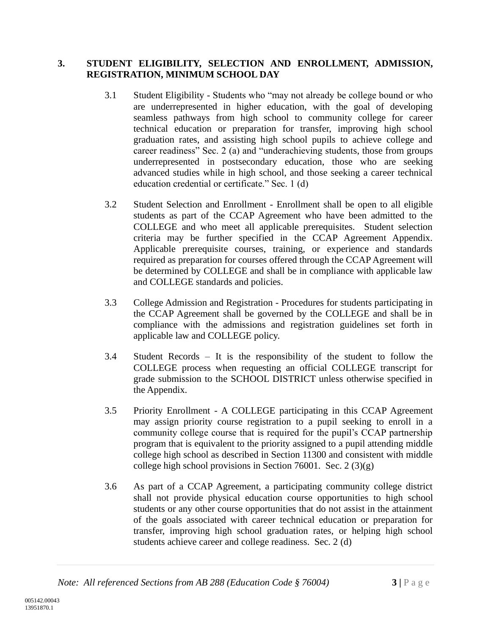## **3. STUDENT ELIGIBILITY, SELECTION AND ENROLLMENT, ADMISSION, REGISTRATION, MINIMUM SCHOOL DAY**

- 3.1 Student Eligibility Students who "may not already be college bound or who are underrepresented in higher education, with the goal of developing seamless pathways from high school to community college for career technical education or preparation for transfer, improving high school graduation rates, and assisting high school pupils to achieve college and career readiness" Sec. 2 (a) and "underachieving students, those from groups underrepresented in postsecondary education, those who are seeking advanced studies while in high school, and those seeking a career technical education credential or certificate." Sec. 1 (d)
- 3.2 Student Selection and Enrollment Enrollment shall be open to all eligible students as part of the CCAP Agreement who have been admitted to the COLLEGE and who meet all applicable prerequisites. Student selection criteria may be further specified in the CCAP Agreement Appendix. Applicable prerequisite courses, training, or experience and standards required as preparation for courses offered through the CCAP Agreement will be determined by COLLEGE and shall be in compliance with applicable law and COLLEGE standards and policies.
- 3.3 College Admission and Registration Procedures for students participating in the CCAP Agreement shall be governed by the COLLEGE and shall be in compliance with the admissions and registration guidelines set forth in applicable law and COLLEGE policy.
- 3.4 Student Records It is the responsibility of the student to follow the COLLEGE process when requesting an official COLLEGE transcript for grade submission to the SCHOOL DISTRICT unless otherwise specified in the Appendix.
- 3.5 Priority Enrollment A COLLEGE participating in this CCAP Agreement may assign priority course registration to a pupil seeking to enroll in a community college course that is required for the pupil's CCAP partnership program that is equivalent to the priority assigned to a pupil attending middle college high school as described in Section 11300 and consistent with middle college high school provisions in Section 76001. Sec. 2 (3)(g)
- 3.6 As part of a CCAP Agreement, a participating community college district shall not provide physical education course opportunities to high school students or any other course opportunities that do not assist in the attainment of the goals associated with career technical education or preparation for transfer, improving high school graduation rates, or helping high school students achieve career and college readiness. Sec. 2 (d)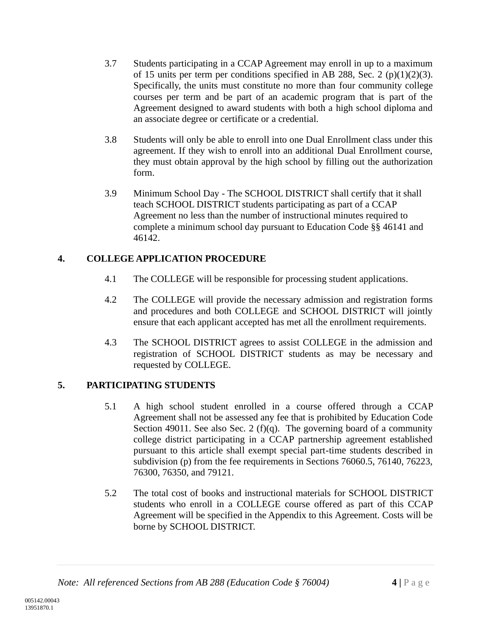- 3.7 Students participating in a CCAP Agreement may enroll in up to a maximum of 15 units per term per conditions specified in AB 288, Sec. 2 (p)(1)(2)(3). Specifically, the units must constitute no more than four community college courses per term and be part of an academic program that is part of the Agreement designed to award students with both a high school diploma and an associate degree or certificate or a credential.
- 3.8 Students will only be able to enroll into one Dual Enrollment class under this agreement. If they wish to enroll into an additional Dual Enrollment course, they must obtain approval by the high school by filling out the authorization form.
- 3.9 Minimum School Day The SCHOOL DISTRICT shall certify that it shall teach SCHOOL DISTRICT students participating as part of a CCAP Agreement no less than the number of instructional minutes required to complete a minimum school day pursuant to Education Code §§ 46141 and 46142.

# **4. COLLEGE APPLICATION PROCEDURE**

- 4.1 The COLLEGE will be responsible for processing student applications.
- 4.2 The COLLEGE will provide the necessary admission and registration forms and procedures and both COLLEGE and SCHOOL DISTRICT will jointly ensure that each applicant accepted has met all the enrollment requirements.
- 4.3 The SCHOOL DISTRICT agrees to assist COLLEGE in the admission and registration of SCHOOL DISTRICT students as may be necessary and requested by COLLEGE.

# **5. PARTICIPATING STUDENTS**

- 5.1 A high school student enrolled in a course offered through a CCAP Agreement shall not be assessed any fee that is prohibited by Education Code Section 49011. See also Sec. 2 (f)(q). The governing board of a community college district participating in a CCAP partnership agreement established pursuant to this article shall exempt special part-time students described in subdivision (p) from the fee requirements in Sections 76060.5, 76140, 76223, 76300, 76350, and 79121.
- 5.2 The total cost of books and instructional materials for SCHOOL DISTRICT students who enroll in a COLLEGE course offered as part of this CCAP Agreement will be specified in the Appendix to this Agreement. Costs will be borne by SCHOOL DISTRICT.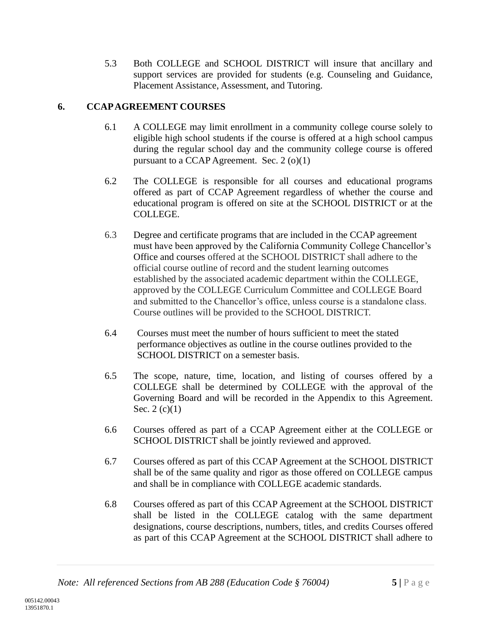5.3 Both COLLEGE and SCHOOL DISTRICT will insure that ancillary and support services are provided for students (e.g. Counseling and Guidance, Placement Assistance, Assessment, and Tutoring.

# **6. CCAP AGREEMENT COURSES**

- 6.1 A COLLEGE may limit enrollment in a community college course solely to eligible high school students if the course is offered at a high school campus during the regular school day and the community college course is offered pursuant to a CCAP Agreement. Sec. 2 (o)(1)
- 6.2 The COLLEGE is responsible for all courses and educational programs offered as part of CCAP Agreement regardless of whether the course and educational program is offered on site at the SCHOOL DISTRICT or at the COLLEGE.
- 6.3 Degree and certificate programs that are included in the CCAP agreement must have been approved by the California Community College Chancellor's Office and courses offered at the SCHOOL DISTRICT shall adhere to the official course outline of record and the student learning outcomes established by the associated academic department within the COLLEGE, approved by the COLLEGE Curriculum Committee and COLLEGE Board and submitted to the Chancellor's office, unless course is a standalone class. Course outlines will be provided to the SCHOOL DISTRICT.
- 6.4 Courses must meet the number of hours sufficient to meet the stated performance objectives as outline in the course outlines provided to the SCHOOL DISTRICT on a semester basis.
- 6.5 The scope, nature, time, location, and listing of courses offered by a COLLEGE shall be determined by COLLEGE with the approval of the Governing Board and will be recorded in the Appendix to this Agreement. Sec.  $2(c)(1)$
- 6.6 Courses offered as part of a CCAP Agreement either at the COLLEGE or SCHOOL DISTRICT shall be jointly reviewed and approved.
- 6.7 Courses offered as part of this CCAP Agreement at the SCHOOL DISTRICT shall be of the same quality and rigor as those offered on COLLEGE campus and shall be in compliance with COLLEGE academic standards.
- 6.8 Courses offered as part of this CCAP Agreement at the SCHOOL DISTRICT shall be listed in the COLLEGE catalog with the same department designations, course descriptions, numbers, titles, and credits Courses offered as part of this CCAP Agreement at the SCHOOL DISTRICT shall adhere to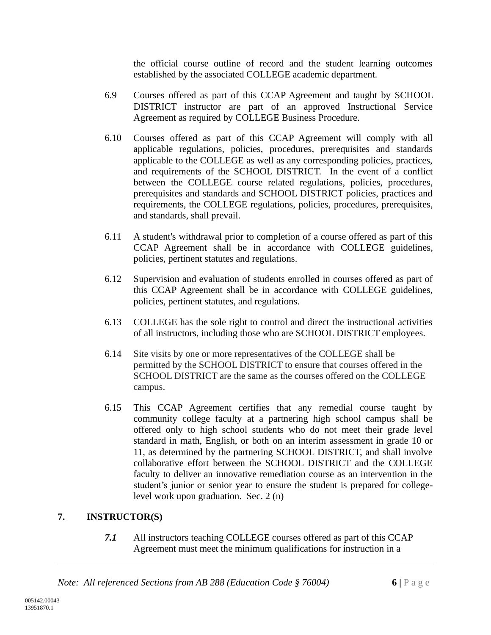the official course outline of record and the student learning outcomes established by the associated COLLEGE academic department.

- 6.9 Courses offered as part of this CCAP Agreement and taught by SCHOOL DISTRICT instructor are part of an approved Instructional Service Agreement as required by COLLEGE Business Procedure.
- 6.10 Courses offered as part of this CCAP Agreement will comply with all applicable regulations, policies, procedures, prerequisites and standards applicable to the COLLEGE as well as any corresponding policies, practices, and requirements of the SCHOOL DISTRICT. In the event of a conflict between the COLLEGE course related regulations, policies, procedures, prerequisites and standards and SCHOOL DISTRICT policies, practices and requirements, the COLLEGE regulations, policies, procedures, prerequisites, and standards, shall prevail.
- 6.11 A student's withdrawal prior to completion of a course offered as part of this CCAP Agreement shall be in accordance with COLLEGE guidelines, policies, pertinent statutes and regulations.
- 6.12 Supervision and evaluation of students enrolled in courses offered as part of this CCAP Agreement shall be in accordance with COLLEGE guidelines, policies, pertinent statutes, and regulations.
- 6.13 COLLEGE has the sole right to control and direct the instructional activities of all instructors, including those who are SCHOOL DISTRICT employees.
- 6.14 Site visits by one or more representatives of the COLLEGE shall be permitted by the SCHOOL DISTRICT to ensure that courses offered in the SCHOOL DISTRICT are the same as the courses offered on the COLLEGE campus.
- 6.15 This CCAP Agreement certifies that any remedial course taught by community college faculty at a partnering high school campus shall be offered only to high school students who do not meet their grade level standard in math, English, or both on an interim assessment in grade 10 or 11, as determined by the partnering SCHOOL DISTRICT, and shall involve collaborative effort between the SCHOOL DISTRICT and the COLLEGE faculty to deliver an innovative remediation course as an intervention in the student's junior or senior year to ensure the student is prepared for collegelevel work upon graduation. Sec. 2 (n)

# **7. INSTRUCTOR(S)**

*7.1* All instructors teaching COLLEGE courses offered as part of this CCAP Agreement must meet the minimum qualifications for instruction in a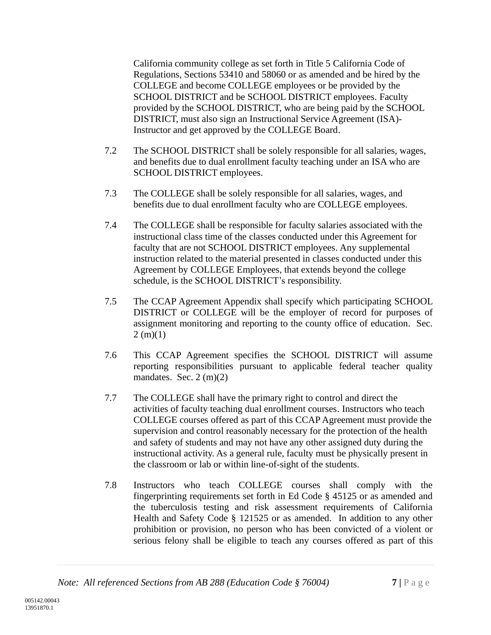California community college as set forth in Title 5 California Code of Regulations, Sections 53410 and 58060 or as amended and be hired by the COLLEGE and become COLLEGE employees or be provided by the SCHOOL DISTRICT and be SCHOOL DISTRICT employees. Faculty provided by the SCHOOL DISTRICT, who are being paid by the SCHOOL DISTRICT, must also sign an Instructional Service Agreement (ISA)- Instructor and get approved by the COLLEGE Board.

- 7.2 The SCHOOL DISTRICT shall be solely responsible for all salaries, wages, and benefits due to dual enrollment faculty teaching under an ISA who are SCHOOL DISTRICT employees.
- 7.3 The COLLEGE shall be solely responsible for all salaries, wages, and benefits due to dual enrollment faculty who are COLLEGE employees.
- 7.4 The COLLEGE shall be responsible for faculty salaries associated with the instructional class time of the classes conducted under this Agreement for faculty that are not SCHOOL DISTRICT employees. Any supplemental instruction related to the material presented in classes conducted under this Agreement by COLLEGE Employees, that extends beyond the college schedule, is the SCHOOL DISTRICT's responsibility.
- 7.5 The CCAP Agreement Appendix shall specify which participating SCHOOL DISTRICT or COLLEGE will be the employer of record for purposes of assignment monitoring and reporting to the county office of education. Sec.  $2(m)(1)$
- 7.6 This CCAP Agreement specifies the SCHOOL DISTRICT will assume reporting responsibilities pursuant to applicable federal teacher quality mandates. Sec.  $2 \text{ (m)}(2)$
- 7.7 The COLLEGE shall have the primary right to control and direct the activities of faculty teaching dual enrollment courses. Instructors who teach COLLEGE courses offered as part of this CCAP Agreement must provide the supervision and control reasonably necessary for the protection of the health and safety of students and may not have any other assigned duty during the instructional activity. As a general rule, faculty must be physically present in the classroom or lab or within line-of-sight of the students.
- 7.8 Instructors who teach COLLEGE courses shall comply with the fingerprinting requirements set forth in Ed Code § 45125 or as amended and the tuberculosis testing and risk assessment requirements of California Health and Safety Code § 121525 or as amended. In addition to any other prohibition or provision, no person who has been convicted of a violent or serious felony shall be eligible to teach any courses offered as part of this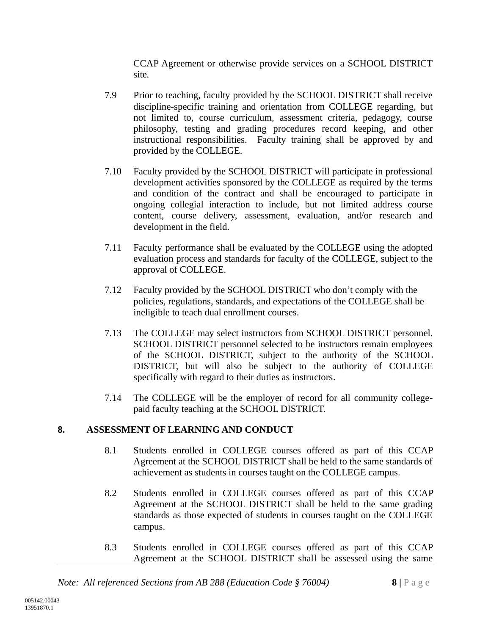CCAP Agreement or otherwise provide services on a SCHOOL DISTRICT site.

- 7.9 Prior to teaching, faculty provided by the SCHOOL DISTRICT shall receive discipline-specific training and orientation from COLLEGE regarding, but not limited to, course curriculum, assessment criteria, pedagogy, course philosophy, testing and grading procedures record keeping, and other instructional responsibilities. Faculty training shall be approved by and provided by the COLLEGE.
- 7.10 Faculty provided by the SCHOOL DISTRICT will participate in professional development activities sponsored by the COLLEGE as required by the terms and condition of the contract and shall be encouraged to participate in ongoing collegial interaction to include, but not limited address course content, course delivery, assessment, evaluation, and/or research and development in the field.
- 7.11 Faculty performance shall be evaluated by the COLLEGE using the adopted evaluation process and standards for faculty of the COLLEGE, subject to the approval of COLLEGE.
- 7.12 Faculty provided by the SCHOOL DISTRICT who don't comply with the policies, regulations, standards, and expectations of the COLLEGE shall be ineligible to teach dual enrollment courses.
- 7.13 The COLLEGE may select instructors from SCHOOL DISTRICT personnel. SCHOOL DISTRICT personnel selected to be instructors remain employees of the SCHOOL DISTRICT, subject to the authority of the SCHOOL DISTRICT, but will also be subject to the authority of COLLEGE specifically with regard to their duties as instructors.
- 7.14 The COLLEGE will be the employer of record for all community collegepaid faculty teaching at the SCHOOL DISTRICT.

# **8. ASSESSMENT OF LEARNING AND CONDUCT**

- 8.1 Students enrolled in COLLEGE courses offered as part of this CCAP Agreement at the SCHOOL DISTRICT shall be held to the same standards of achievement as students in courses taught on the COLLEGE campus.
- 8.2 Students enrolled in COLLEGE courses offered as part of this CCAP Agreement at the SCHOOL DISTRICT shall be held to the same grading standards as those expected of students in courses taught on the COLLEGE campus.
- 8.3 Students enrolled in COLLEGE courses offered as part of this CCAP Agreement at the SCHOOL DISTRICT shall be assessed using the same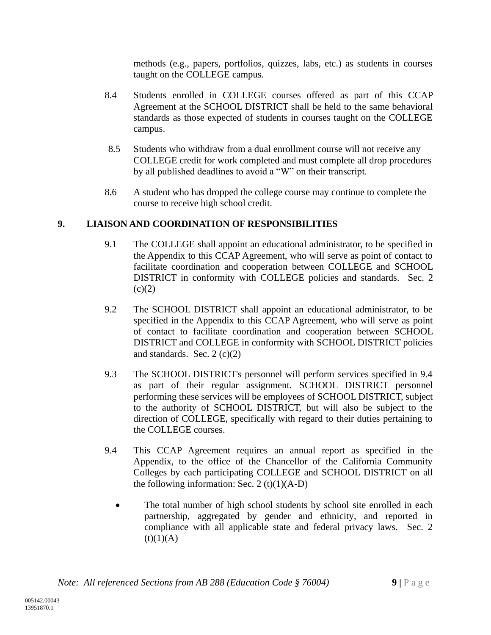methods (e.g., papers, portfolios, quizzes, labs, etc.) as students in courses taught on the COLLEGE campus.

- 8.4 Students enrolled in COLLEGE courses offered as part of this CCAP Agreement at the SCHOOL DISTRICT shall be held to the same behavioral standards as those expected of students in courses taught on the COLLEGE campus.
- 8.5 Students who withdraw from a dual enrollment course will not receive any COLLEGE credit for work completed and must complete all drop procedures by all published deadlines to avoid a "W" on their transcript.
- 8.6 A student who has dropped the college course may continue to complete the course to receive high school credit.

# **9. LIAISON AND COORDINATION OF RESPONSIBILITIES**

- 9.1 The COLLEGE shall appoint an educational administrator, to be specified in the Appendix to this CCAP Agreement, who will serve as point of contact to facilitate coordination and cooperation between COLLEGE and SCHOOL DISTRICT in conformity with COLLEGE policies and standards. Sec. 2  $(c)(2)$
- 9.2 The SCHOOL DISTRICT shall appoint an educational administrator, to be specified in the Appendix to this CCAP Agreement, who will serve as point of contact to facilitate coordination and cooperation between SCHOOL DISTRICT and COLLEGE in conformity with SCHOOL DISTRICT policies and standards. Sec.  $2(c)(2)$
- 9.3 The SCHOOL DISTRICT's personnel will perform services specified in 9.4 as part of their regular assignment. SCHOOL DISTRICT personnel performing these services will be employees of SCHOOL DISTRICT, subject to the authority of SCHOOL DISTRICT, but will also be subject to the direction of COLLEGE, specifically with regard to their duties pertaining to the COLLEGE courses.
- 9.4 This CCAP Agreement requires an annual report as specified in the Appendix, to the office of the Chancellor of the California Community Colleges by each participating COLLEGE and SCHOOL DISTRICT on all the following information: Sec. 2  $(t)(1)(A-D)$ 
	- The total number of high school students by school site enrolled in each partnership, aggregated by gender and ethnicity, and reported in compliance with all applicable state and federal privacy laws. Sec. 2  $(t)(1)(A)$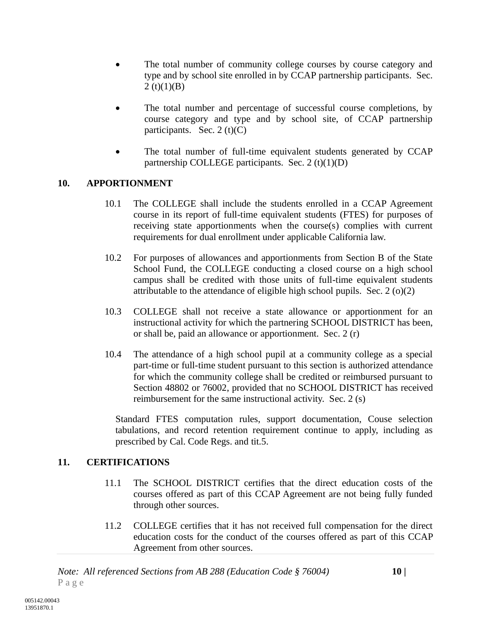- The total number of community college courses by course category and type and by school site enrolled in by CCAP partnership participants. Sec.  $2(t)(1)(B)$
- The total number and percentage of successful course completions, by course category and type and by school site, of CCAP partnership participants. Sec. 2 (t) $(C)$
- The total number of full-time equivalent students generated by CCAP partnership COLLEGE participants. Sec.  $2(t)(1)(D)$

## **10. APPORTIONMENT**

- 10.1 The COLLEGE shall include the students enrolled in a CCAP Agreement course in its report of full-time equivalent students (FTES) for purposes of receiving state apportionments when the course(s) complies with current requirements for dual enrollment under applicable California law.
- 10.2 For purposes of allowances and apportionments from Section B of the State School Fund, the COLLEGE conducting a closed course on a high school campus shall be credited with those units of full-time equivalent students attributable to the attendance of eligible high school pupils. Sec. 2 (o)(2)
- 10.3 COLLEGE shall not receive a state allowance or apportionment for an instructional activity for which the partnering SCHOOL DISTRICT has been, or shall be, paid an allowance or apportionment. Sec. 2 (r)
- 10.4 The attendance of a high school pupil at a community college as a special part-time or full-time student pursuant to this section is authorized attendance for which the community college shall be credited or reimbursed pursuant to Section 48802 or 76002, provided that no SCHOOL DISTRICT has received reimbursement for the same instructional activity. Sec. 2 (s)

Standard FTES computation rules, support documentation, Couse selection tabulations, and record retention requirement continue to apply, including as prescribed by Cal. Code Regs. and tit.5.

## **11. CERTIFICATIONS**

- 11.1 The SCHOOL DISTRICT certifies that the direct education costs of the courses offered as part of this CCAP Agreement are not being fully funded through other sources.
- 11.2 COLLEGE certifies that it has not received full compensation for the direct education costs for the conduct of the courses offered as part of this CCAP Agreement from other sources.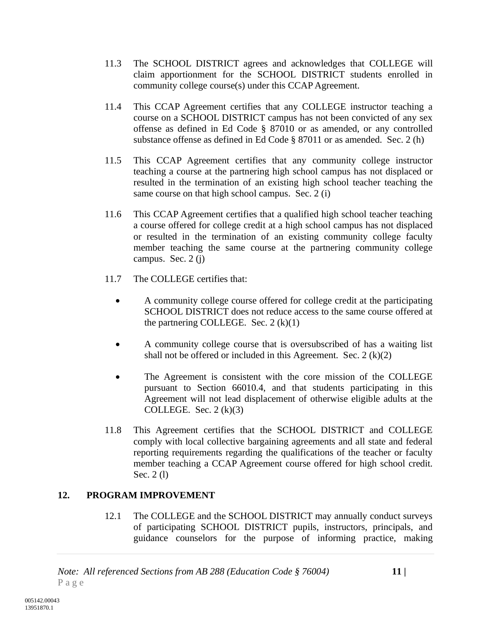- 11.3 The SCHOOL DISTRICT agrees and acknowledges that COLLEGE will claim apportionment for the SCHOOL DISTRICT students enrolled in community college course(s) under this CCAP Agreement.
- 11.4 This CCAP Agreement certifies that any COLLEGE instructor teaching a course on a SCHOOL DISTRICT campus has not been convicted of any sex offense as defined in Ed Code § 87010 or as amended, or any controlled substance offense as defined in Ed Code § 87011 or as amended. Sec. 2 (h)
- 11.5 This CCAP Agreement certifies that any community college instructor teaching a course at the partnering high school campus has not displaced or resulted in the termination of an existing high school teacher teaching the same course on that high school campus. Sec. 2 (i)
- 11.6 This CCAP Agreement certifies that a qualified high school teacher teaching a course offered for college credit at a high school campus has not displaced or resulted in the termination of an existing community college faculty member teaching the same course at the partnering community college campus. Sec. 2 (j)
- 11.7 The COLLEGE certifies that:
	- A community college course offered for college credit at the participating SCHOOL DISTRICT does not reduce access to the same course offered at the partnering COLLEGE. Sec.  $2(k)(1)$
	- A community college course that is oversubscribed of has a waiting list shall not be offered or included in this Agreement. Sec.  $2(k)(2)$
	- The Agreement is consistent with the core mission of the COLLEGE pursuant to Section 66010.4, and that students participating in this Agreement will not lead displacement of otherwise eligible adults at the COLLEGE. Sec.  $2(k)(3)$
- 11.8 This Agreement certifies that the SCHOOL DISTRICT and COLLEGE comply with local collective bargaining agreements and all state and federal reporting requirements regarding the qualifications of the teacher or faculty member teaching a CCAP Agreement course offered for high school credit. Sec. 2 (l)

## **12. PROGRAM IMPROVEMENT**

12.1 The COLLEGE and the SCHOOL DISTRICT may annually conduct surveys of participating SCHOOL DISTRICT pupils, instructors, principals, and guidance counselors for the purpose of informing practice, making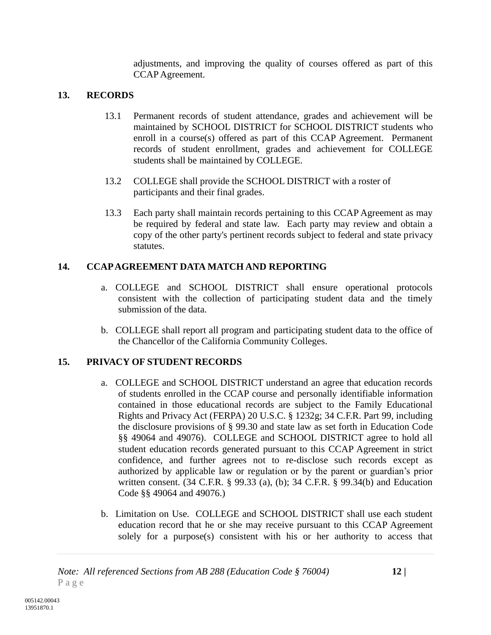adjustments, and improving the quality of courses offered as part of this CCAP Agreement.

# **13. RECORDS**

- 13.1 Permanent records of student attendance, grades and achievement will be maintained by SCHOOL DISTRICT for SCHOOL DISTRICT students who enroll in a course(s) offered as part of this CCAP Agreement. Permanent records of student enrollment, grades and achievement for COLLEGE students shall be maintained by COLLEGE.
- 13.2 COLLEGE shall provide the SCHOOL DISTRICT with a roster of participants and their final grades.
- 13.3 Each party shall maintain records pertaining to this CCAP Agreement as may be required by federal and state law. Each party may review and obtain a copy of the other party's pertinent records subject to federal and state privacy statutes.

# **14. CCAP AGREEMENT DATA MATCH AND REPORTING**

- a. COLLEGE and SCHOOL DISTRICT shall ensure operational protocols consistent with the collection of participating student data and the timely submission of the data.
- b. COLLEGE shall report all program and participating student data to the office of the Chancellor of the California Community Colleges.

# **15. PRIVACY OF STUDENT RECORDS**

- a. COLLEGE and SCHOOL DISTRICT understand an agree that education records of students enrolled in the CCAP course and personally identifiable information contained in those educational records are subject to the Family Educational Rights and Privacy Act (FERPA) 20 U.S.C. § 1232g; 34 C.F.R. Part 99, including the disclosure provisions of § 99.30 and state law as set forth in Education Code §§ 49064 and 49076). COLLEGE and SCHOOL DISTRICT agree to hold all student education records generated pursuant to this CCAP Agreement in strict confidence, and further agrees not to re-disclose such records except as authorized by applicable law or regulation or by the parent or guardian's prior written consent. (34 C.F.R. § 99.33 (a), (b); 34 C.F.R. § 99.34(b) and Education Code §§ 49064 and 49076.)
- b. Limitation on Use. COLLEGE and SCHOOL DISTRICT shall use each student education record that he or she may receive pursuant to this CCAP Agreement solely for a purpose(s) consistent with his or her authority to access that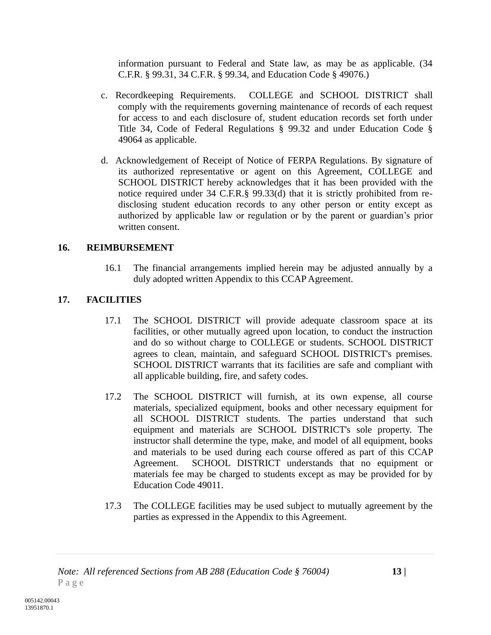information pursuant to Federal and State law, as may be as applicable. (34 C.F.R. § 99.31, 34 C.F.R. § 99.34, and Education Code § 49076.)

- c. Recordkeeping Requirements. COLLEGE and SCHOOL DISTRICT shall comply with the requirements governing maintenance of records of each request for access to and each disclosure of, student education records set forth under Title 34, Code of Federal Regulations § 99.32 and under Education Code § 49064 as applicable.
- d. Acknowledgement of Receipt of Notice of FERPA Regulations. By signature of its authorized representative or agent on this Agreement, COLLEGE and SCHOOL DISTRICT hereby acknowledges that it has been provided with the notice required under 34 C.F.R.§ 99.33(d) that it is strictly prohibited from redisclosing student education records to any other person or entity except as authorized by applicable law or regulation or by the parent or guardian's prior written consent.

## **16. REIMBURSEMENT**

16.1 The financial arrangements implied herein may be adjusted annually by a duly adopted written Appendix to this CCAP Agreement.

# **17. FACILITIES**

- 17.1 The SCHOOL DISTRICT will provide adequate classroom space at its facilities, or other mutually agreed upon location, to conduct the instruction and do so without charge to COLLEGE or students. SCHOOL DISTRICT agrees to clean, maintain, and safeguard SCHOOL DISTRICT's premises. SCHOOL DISTRICT warrants that its facilities are safe and compliant with all applicable building, fire, and safety codes.
- 17.2 The SCHOOL DISTRICT will furnish, at its own expense, all course materials, specialized equipment, books and other necessary equipment for all SCHOOL DISTRICT students. The parties understand that such equipment and materials are SCHOOL DISTRICT's sole property. The instructor shall determine the type, make, and model of all equipment, books and materials to be used during each course offered as part of this CCAP Agreement. SCHOOL DISTRICT understands that no equipment or materials fee may be charged to students except as may be provided for by Education Code 49011.
- 17.3 The COLLEGE facilities may be used subject to mutually agreement by the parties as expressed in the Appendix to this Agreement.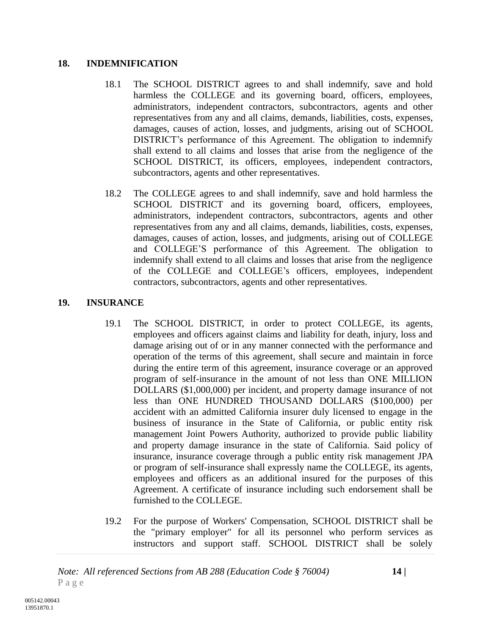#### **18. INDEMNIFICATION**

- 18.1 The SCHOOL DISTRICT agrees to and shall indemnify, save and hold harmless the COLLEGE and its governing board, officers, employees, administrators, independent contractors, subcontractors, agents and other representatives from any and all claims, demands, liabilities, costs, expenses, damages, causes of action, losses, and judgments, arising out of SCHOOL DISTRICT's performance of this Agreement. The obligation to indemnify shall extend to all claims and losses that arise from the negligence of the SCHOOL DISTRICT, its officers, employees, independent contractors, subcontractors, agents and other representatives.
- 18.2 The COLLEGE agrees to and shall indemnify, save and hold harmless the SCHOOL DISTRICT and its governing board, officers, employees, administrators, independent contractors, subcontractors, agents and other representatives from any and all claims, demands, liabilities, costs, expenses, damages, causes of action, losses, and judgments, arising out of COLLEGE and COLLEGE'S performance of this Agreement. The obligation to indemnify shall extend to all claims and losses that arise from the negligence of the COLLEGE and COLLEGE's officers, employees, independent contractors, subcontractors, agents and other representatives.

## **19. INSURANCE**

- 19.1 The SCHOOL DISTRICT, in order to protect COLLEGE, its agents, employees and officers against claims and liability for death, injury, loss and damage arising out of or in any manner connected with the performance and operation of the terms of this agreement, shall secure and maintain in force during the entire term of this agreement, insurance coverage or an approved program of self-insurance in the amount of not less than ONE MILLION DOLLARS (\$1,000,000) per incident, and property damage insurance of not less than ONE HUNDRED THOUSAND DOLLARS (\$100,000) per accident with an admitted California insurer duly licensed to engage in the business of insurance in the State of California, or public entity risk management Joint Powers Authority, authorized to provide public liability and property damage insurance in the state of California. Said policy of insurance, insurance coverage through a public entity risk management JPA or program of self-insurance shall expressly name the COLLEGE, its agents, employees and officers as an additional insured for the purposes of this Agreement. A certificate of insurance including such endorsement shall be furnished to the COLLEGE.
- 19.2 For the purpose of Workers' Compensation, SCHOOL DISTRICT shall be the "primary employer" for all its personnel who perform services as instructors and support staff. SCHOOL DISTRICT shall be solely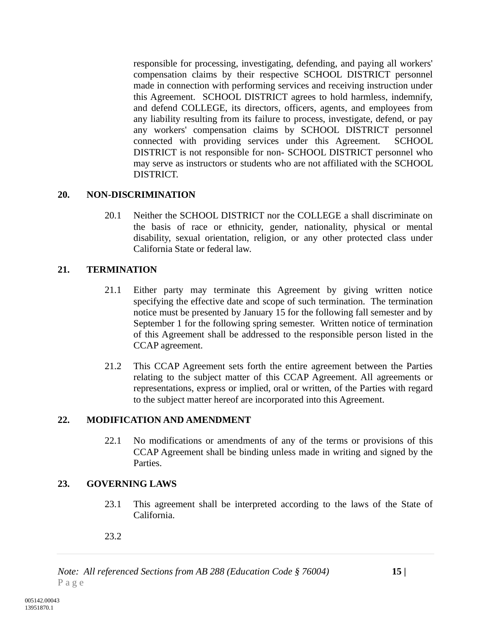responsible for processing, investigating, defending, and paying all workers' compensation claims by their respective SCHOOL DISTRICT personnel made in connection with performing services and receiving instruction under this Agreement. SCHOOL DISTRICT agrees to hold harmless, indemnify, and defend COLLEGE, its directors, officers, agents, and employees from any liability resulting from its failure to process, investigate, defend, or pay any workers' compensation claims by SCHOOL DISTRICT personnel connected with providing services under this Agreement. SCHOOL DISTRICT is not responsible for non- SCHOOL DISTRICT personnel who may serve as instructors or students who are not affiliated with the SCHOOL DISTRICT.

## **20. NON-DISCRIMINATION**

20.1 Neither the SCHOOL DISTRICT nor the COLLEGE a shall discriminate on the basis of race or ethnicity, gender, nationality, physical or mental disability, sexual orientation, religion, or any other protected class under California State or federal law.

## **21. TERMINATION**

- 21.1 Either party may terminate this Agreement by giving written notice specifying the effective date and scope of such termination. The termination notice must be presented by January 15 for the following fall semester and by September 1 for the following spring semester. Written notice of termination of this Agreement shall be addressed to the responsible person listed in the CCAP agreement.
- 21.2 This CCAP Agreement sets forth the entire agreement between the Parties relating to the subject matter of this CCAP Agreement. All agreements or representations, express or implied, oral or written, of the Parties with regard to the subject matter hereof are incorporated into this Agreement.

## **22. MODIFICATION AND AMENDMENT**

22.1 No modifications or amendments of any of the terms or provisions of this CCAP Agreement shall be binding unless made in writing and signed by the Parties.

## **23. GOVERNING LAWS**

23.1 This agreement shall be interpreted according to the laws of the State of California.

## 23.2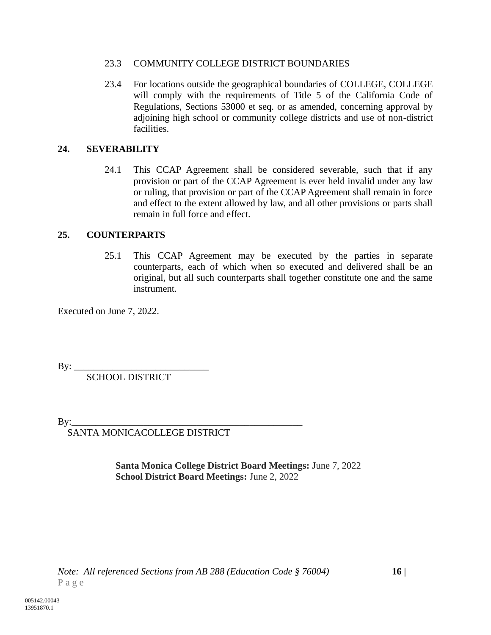#### 23.3 COMMUNITY COLLEGE DISTRICT BOUNDARIES

23.4 For locations outside the geographical boundaries of COLLEGE, COLLEGE will comply with the requirements of Title 5 of the California Code of Regulations, Sections 53000 et seq. or as amended, concerning approval by adjoining high school or community college districts and use of non-district facilities.

## **24. SEVERABILITY**

24.1 This CCAP Agreement shall be considered severable, such that if any provision or part of the CCAP Agreement is ever held invalid under any law or ruling, that provision or part of the CCAP Agreement shall remain in force and effect to the extent allowed by law, and all other provisions or parts shall remain in full force and effect.

## **25. COUNTERPARTS**

25.1 This CCAP Agreement may be executed by the parties in separate counterparts, each of which when so executed and delivered shall be an original, but all such counterparts shall together constitute one and the same instrument.

Executed on June 7, 2022.

 $By: \_\_$ 

SCHOOL DISTRICT

By:\_\_\_\_\_\_\_\_\_\_\_\_\_\_\_\_\_\_\_\_\_\_\_\_\_\_\_\_\_\_\_\_\_\_\_\_\_\_\_\_\_\_\_\_\_\_\_\_

SANTA MONICACOLLEGE DISTRICT

**Santa Monica College District Board Meetings:** June 7, 2022 **School District Board Meetings:** June 2, 2022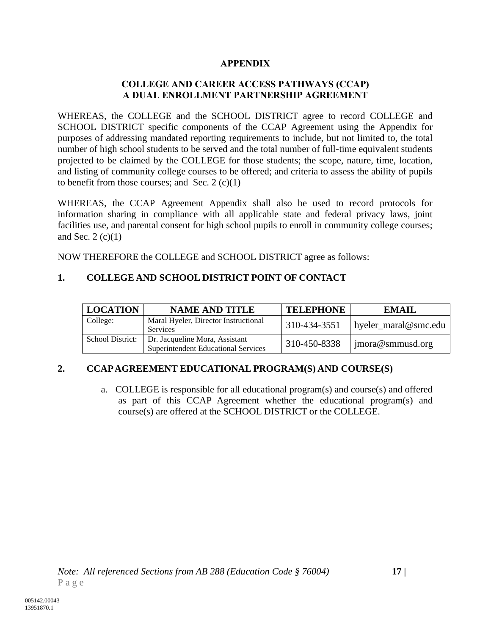## **APPENDIX**

## **COLLEGE AND CAREER ACCESS PATHWAYS (CCAP) A DUAL ENROLLMENT PARTNERSHIP AGREEMENT**

WHEREAS, the COLLEGE and the SCHOOL DISTRICT agree to record COLLEGE and SCHOOL DISTRICT specific components of the CCAP Agreement using the Appendix for purposes of addressing mandated reporting requirements to include, but not limited to, the total number of high school students to be served and the total number of full-time equivalent students projected to be claimed by the COLLEGE for those students; the scope, nature, time, location, and listing of community college courses to be offered; and criteria to assess the ability of pupils to benefit from those courses; and Sec.  $2(c)(1)$ 

WHEREAS, the CCAP Agreement Appendix shall also be used to record protocols for information sharing in compliance with all applicable state and federal privacy laws, joint facilities use, and parental consent for high school pupils to enroll in community college courses; and Sec.  $2(c)(1)$ 

NOW THEREFORE the COLLEGE and SCHOOL DISTRICT agree as follows:

## **1. COLLEGE AND SCHOOL DISTRICT POINT OF CONTACT**

| <b>LOCATION</b>  | <b>NAME AND TITLE</b>                                                        | <b>TELEPHONE</b> | EMAIL                |
|------------------|------------------------------------------------------------------------------|------------------|----------------------|
| College:         | Maral Hyeler, Director Instructional<br><b>Services</b>                      | 310-434-3551     | hyeler_maral@smc.edu |
| School District: | Dr. Jacqueline Mora, Assistant<br><b>Superintendent Educational Services</b> | 310-450-8338     | jmora@smmusd.org     |

# **2. CCAP AGREEMENT EDUCATIONAL PROGRAM(S) AND COURSE(S)**

a. COLLEGE is responsible for all educational program(s) and course(s) and offered as part of this CCAP Agreement whether the educational program(s) and course(s) are offered at the SCHOOL DISTRICT or the COLLEGE.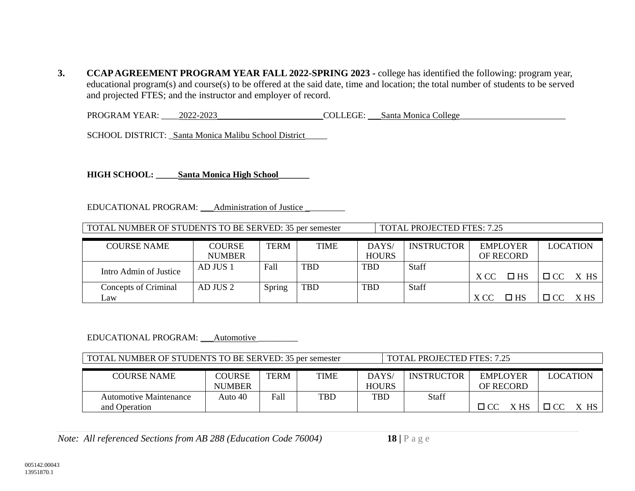**3. CCAP AGREEMENT PROGRAM YEAR FALL 2022-SPRING 2023 -** college has identified the following: program year, educational program(s) and course(s) to be offered at the said date, time and location; the total number of students to be served and projected FTES; and the instructor and employer of record.

PROGRAM YEAR: \_\_\_\_2022-2023\_\_\_\_\_\_\_\_\_\_\_\_\_\_\_\_\_\_\_\_\_\_\_\_COLLEGE: \_\_\_Santa Monica College\_\_\_\_\_\_\_\_\_\_\_\_\_\_\_\_\_\_\_\_\_\_\_\_

SCHOOL DISTRICT: \_Santa Monica Malibu School District\_

**HIGH SCHOOL: \_\_\_\_\_Santa Monica High School\_\_\_\_\_\_\_**

EDUCATIONAL PROGRAM: \_\_\_\_Administration of Justice

| TOTAL NUMBER OF STUDENTS TO BE SERVED: 35 per semester                                                                                |               |        |            | <b>TOTAL PROJECTED FTES: 7.25</b> |       |      |              |                |      |
|---------------------------------------------------------------------------------------------------------------------------------------|---------------|--------|------------|-----------------------------------|-------|------|--------------|----------------|------|
| <b>INSTRUCTOR</b><br><b>LOCATION</b><br><b>TERM</b><br>DAYS/<br><b>COURSE NAME</b><br><b>COURSE</b><br><b>TIME</b><br><b>EMPLOYER</b> |               |        |            |                                   |       |      |              |                |      |
|                                                                                                                                       | <b>NUMBER</b> |        |            | <b>HOURS</b>                      |       |      | OF RECORD    |                |      |
|                                                                                                                                       | AD JUS 1      | Fall   | <b>TBD</b> | <b>TBD</b>                        | Staff |      |              |                |      |
| Intro Admin of Justice                                                                                                                |               |        |            |                                   |       | X CC | $\square$ HS | $\Box$ CC X HS |      |
| Concepts of Criminal                                                                                                                  | AD JUS 2      | Spring | <b>TBD</b> | <b>TBD</b>                        | Staff |      |              |                |      |
| Law                                                                                                                                   |               |        |            |                                   |       | X CC | $\Box$ HS    |                | X HS |

#### EDUCATIONAL PROGRAM: \_\_\_\_Automotive \_

| TOTAL NUMBER OF STUDENTS TO BE SERVED: 35 per semester                                                                               |         |      |            | <b>TOTAL PROJECTED FTES: 7.25</b> |       |              |                             |
|--------------------------------------------------------------------------------------------------------------------------------------|---------|------|------------|-----------------------------------|-------|--------------|-----------------------------|
| TERM<br>DAYS/<br>TIME<br><b>INSTRUCTOR</b><br>COURSE NAME<br>COURSE<br><b>EMPLOYER</b><br><b>HOURS</b><br><b>NUMBER</b><br>OF RECORD |         |      |            |                                   |       |              | <b>LOCATION</b>             |
| Automotive Maintenance<br>and Operation                                                                                              | Auto 40 | Fall | <b>TBD</b> | <b>TBD</b>                        | Staff | X HS<br>П CC | $\Box$ CC<br><b>HS</b><br>X |

*Note: All referenced Sections from AB 288 (Education Code 76004)* **18** | P a g e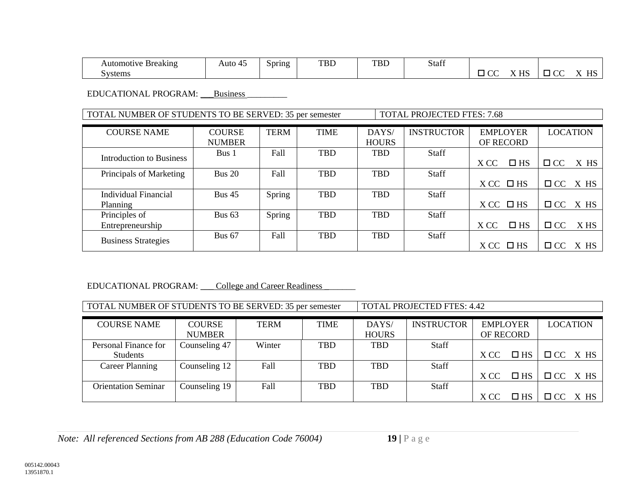| omoti<br>$\mathbf{C}$ tik $\mathbf{C}$<br><b>Breaking</b><br>AHI | Auto | $\sim$<br>Spring | TBD | <b>TBD</b> | $\mathcal{C}$<br>Stafi<br>$\cdots$ |                          |                  |          |
|------------------------------------------------------------------|------|------------------|-----|------------|------------------------------------|--------------------------|------------------|----------|
| ivstems                                                          |      |                  |     |            |                                    | $T$ $T$ $C$<br><b>TT</b> | $\sim$<br>$\sim$ | TTC<br>. |

EDUCATIONAL PROGRAM: \_\_\_\_Business

TOTAL NUMBER OF STUDENTS TO BE SERVED: 35 per semester TOTAL PROJECTED FTES: 7.68

| <b>COURSE NAME</b>         | <b>COURSE</b> | <b>TERM</b> | <b>TIME</b> | DAYS/        | <b>INSTRUCTOR</b> | <b>EMPLOYER</b>      | <b>LOCATION</b>   |
|----------------------------|---------------|-------------|-------------|--------------|-------------------|----------------------|-------------------|
|                            | <b>NUMBER</b> |             |             | <b>HOURS</b> |                   | OF RECORD            |                   |
| Introduction to Business   | Bus 1         | Fall        | <b>TBD</b>  | <b>TBD</b>   | Staff             |                      |                   |
|                            |               |             |             |              |                   | $\square$ HS<br>X CC | $\Box$ CC<br>X HS |
| Principals of Marketing    | <b>Bus 20</b> | Fall        | <b>TBD</b>  | <b>TBD</b>   | Staff             |                      |                   |
|                            |               |             |             |              |                   | $XCC$ $\Box$ HS      | $\Box$ CC<br>X HS |
| Individual Financial       | Bus $45$      | Spring      | <b>TBD</b>  | <b>TBD</b>   | Staff             |                      |                   |
| Planning                   |               |             |             |              |                   | $XCC$ $\Box$ HS      | $\Box$ CC X HS    |
| Principles of              | Bus $63$      | Spring      | <b>TBD</b>  | <b>TBD</b>   | <b>Staff</b>      |                      |                   |
| Entrepreneurship           |               |             |             |              |                   | X CC<br>$\square$ HS | X HS<br>$\Box$ CC |
|                            | <b>Bus 67</b> | Fall        | <b>TBD</b>  | <b>TBD</b>   | Staff             |                      |                   |
| <b>Business Strategies</b> |               |             |             |              |                   | $XCC$ $\Box$ HS      | X HS<br>$\Box$ CC |

#### EDUCATIONAL PROGRAM: College and Career Readiness

TOTAL NUMBER OF STUDENTS TO BE SERVED: 35 per semester | TOTAL PROJECTED FTES: 4.42

| <b>COURSE NAME</b>         | <b>COURSE</b> | <b>TERM</b> | <b>TIME</b> | DAYS/        | <b>INSTRUCTOR</b> | <b>EMPLOYER</b> |              |                | LOCATION |
|----------------------------|---------------|-------------|-------------|--------------|-------------------|-----------------|--------------|----------------|----------|
|                            | <b>NUMBER</b> |             |             | <b>HOURS</b> |                   | OF RECORD       |              |                |          |
| Personal Finance for       | Counseling 47 | Winter      | <b>TBD</b>  | <b>TBD</b>   | <b>Staff</b>      |                 |              |                |          |
| Students                   |               |             |             |              |                   | X CC            | $\square$ HS | $\Box$ CC X HS |          |
| Career Planning            | Counseling 12 | Fall        | <b>TBD</b>  | <b>TBD</b>   | <b>Staff</b>      |                 |              |                |          |
|                            |               |             |             |              |                   | X CC            | $\square$ HS | $\Box$ CC X HS |          |
| <b>Orientation Seminar</b> | Counseling 19 | Fall        | <b>TBD</b>  | <b>TBD</b>   | <b>Staff</b>      |                 |              |                |          |
|                            |               |             |             |              |                   | X CC            | $\square$ HS | $\Box$ CC X HS |          |

*Note: All referenced Sections from AB 288 (Education Code 76004)* **19** | P a g e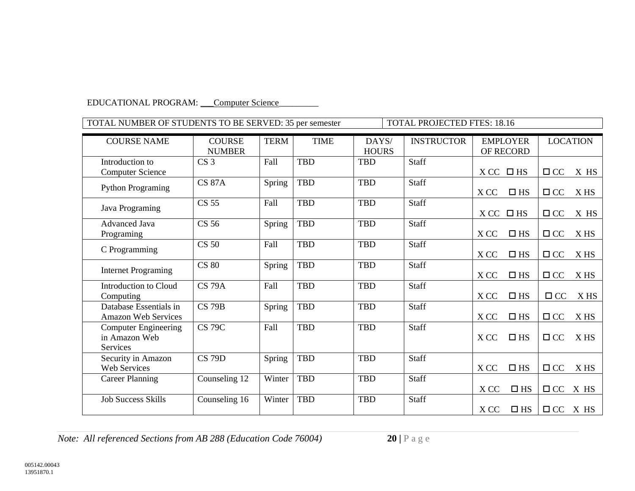#### EDUCATIONAL PROGRAM: Computer Science

| TOTAL NUMBER OF STUDENTS TO BE SERVED: 35 per semester |                 |             |             |              | <b>TOTAL PROJECTED FTES: 18.16</b> |                      |                   |
|--------------------------------------------------------|-----------------|-------------|-------------|--------------|------------------------------------|----------------------|-------------------|
|                                                        |                 |             |             |              |                                    |                      |                   |
| <b>COURSE NAME</b>                                     | <b>COURSE</b>   | <b>TERM</b> | <b>TIME</b> | DAYS/        | <b>INSTRUCTOR</b>                  | <b>EMPLOYER</b>      | <b>LOCATION</b>   |
|                                                        | <b>NUMBER</b>   |             |             | <b>HOURS</b> |                                    | OF RECORD            |                   |
| Introduction to                                        | CS <sub>3</sub> | Fall        | <b>TBD</b>  | <b>TBD</b>   | Staff                              |                      |                   |
| <b>Computer Science</b>                                |                 |             |             |              |                                    | $XCC$ $\Box$ HS      | $\Box$ CC<br>X HS |
| <b>Python Programing</b>                               | <b>CS 87A</b>   | Spring      | <b>TBD</b>  | <b>TBD</b>   | Staff                              |                      |                   |
|                                                        |                 |             |             |              |                                    | X CC<br>$\Box$ HS    | $\Box$ CC<br>X HS |
| Java Programing                                        | <b>CS 55</b>    | Fall        | <b>TBD</b>  | <b>TBD</b>   | Staff                              |                      |                   |
|                                                        |                 |             |             |              |                                    | X CC<br>$\square$ HS | $\Box$ CC<br>X HS |
| <b>Advanced Java</b>                                   | <b>CS 56</b>    | Spring      | <b>TBD</b>  | <b>TBD</b>   | Staff                              |                      |                   |
| Programing                                             |                 |             |             |              |                                    | X CC<br>$\Box$ HS    | $\Box$ CC<br>X HS |
|                                                        | <b>CS 50</b>    | Fall        | <b>TBD</b>  | <b>TBD</b>   | Staff                              |                      |                   |
| C Programming                                          |                 |             |             |              |                                    | X CC<br>$\Box$ HS    | $\Box$ CC<br>X HS |
|                                                        | <b>CS 80</b>    | Spring      | <b>TBD</b>  | <b>TBD</b>   | Staff                              |                      |                   |
| <b>Internet Programing</b>                             |                 |             |             |              |                                    | $\square$ HS<br>X CC | $\Box$ CC<br>X HS |
| Introduction to Cloud                                  | <b>CS 79A</b>   | Fall        | <b>TBD</b>  | <b>TBD</b>   | Staff                              |                      |                   |
| Computing                                              |                 |             |             |              |                                    | $\Box$ HS<br>X CC    | $\Box$ CC<br>X HS |
| Database Essentials in                                 | <b>CS 79B</b>   | Spring      | <b>TBD</b>  | <b>TBD</b>   | Staff                              |                      |                   |
| <b>Amazon Web Services</b>                             |                 |             |             |              |                                    | X CC<br>$\Box$ HS    | $\Box$ CC<br>X HS |
| <b>Computer Engineering</b>                            | <b>CS 79C</b>   | Fall        | <b>TBD</b>  | <b>TBD</b>   | Staff                              |                      |                   |
| in Amazon Web                                          |                 |             |             |              |                                    | X CC<br>$\Box$ HS    | $\Box$ CC<br>X HS |
| Services                                               |                 |             |             |              |                                    |                      |                   |
| Security in Amazon                                     | <b>CS 79D</b>   | Spring      | <b>TBD</b>  | <b>TBD</b>   | Staff                              |                      |                   |
| <b>Web Services</b>                                    |                 |             |             |              |                                    | $\square$ HS<br>X CC | $\Box$ CC<br>X HS |
| <b>Career Planning</b>                                 | Counseling 12   | Winter      | <b>TBD</b>  | <b>TBD</b>   | Staff                              |                      |                   |
|                                                        |                 |             |             |              |                                    | $\square$ HS<br>X CC | $\Box$ CC<br>X HS |
| <b>Job Success Skills</b>                              | Counseling 16   | Winter      | <b>TBD</b>  | <b>TBD</b>   | Staff                              |                      |                   |
|                                                        |                 |             |             |              |                                    | $\Box$ HS<br>X CC    | $\Box$ CC X HS    |

*Note: All referenced Sections from AB 288 (Education Code 76004)* **20** | P a g e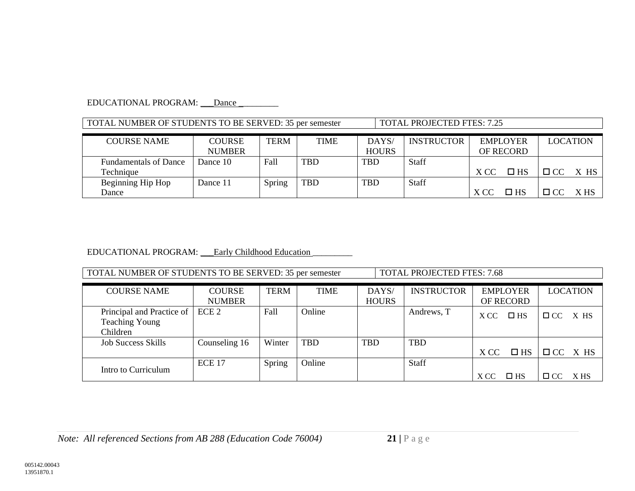#### EDUCATIONAL PROGRAM: \_\_\_Dance

| TOTAL NUMBER OF STUDENTS TO BE SERVED: 35 per semester                                                      |          |        | <b>TOTAL PROJECTED FTES: 7.25</b> |            |                   |      |                              |                 |      |
|-------------------------------------------------------------------------------------------------------------|----------|--------|-----------------------------------|------------|-------------------|------|------------------------------|-----------------|------|
| <b>COURSE</b><br><b>TERM</b><br><b>TIME</b><br>DAYS/<br><b>COURSE NAME</b><br><b>HOURS</b><br><b>NUMBER</b> |          |        |                                   |            | <b>INSTRUCTOR</b> |      | <b>EMPLOYER</b><br>OF RECORD | <b>LOCATION</b> |      |
| <b>Fundamentals of Dance</b>                                                                                | Dance 10 | Fall   | <b>TBD</b>                        | <b>TBD</b> | <b>Staff</b>      |      |                              |                 |      |
| Technique                                                                                                   |          |        |                                   |            |                   | X CC | $\square$ HS                 | $\Box$ CC X HS  |      |
| Beginning Hip Hop                                                                                           | Dance 11 | Spring | <b>TBD</b>                        | <b>TBD</b> | Staff             |      |                              |                 |      |
| Dance                                                                                                       |          |        |                                   |            |                   | X CC | $\Box$ HS                    | $\Box$ CC       | X HS |

#### EDUCATIONAL PROGRAM: \_\_\_Early Childhood Education

TOTAL NUMBER OF STUDENTS TO BE SERVED: 35 per semester TOTAL PROJECTED FTES: 7.68

| <b>COURSE NAME</b>                                             | <b>COURSE</b><br><b>NUMBER</b> | <b>TERM</b>   | <b>TIME</b> | DAYS/<br><b>HOURS</b> | <b>INSTRUCTOR</b> |      | <b>EMPLOYER</b><br>OF RECORD |                | <b>LOCATION</b> |
|----------------------------------------------------------------|--------------------------------|---------------|-------------|-----------------------|-------------------|------|------------------------------|----------------|-----------------|
| Principal and Practice of<br><b>Teaching Young</b><br>Children | ECE <sub>2</sub>               | Fall          | Online      |                       | Andrews, T        | X CC | $\square$ HS                 | $\Box$ CC      | X HS            |
| <b>Job Success Skills</b>                                      | Counseling 16                  | Winter        | <b>TBD</b>  | <b>TBD</b>            | <b>TBD</b>        | X CC | $\square$ HS                 | $\Box$ CC X HS |                 |
| Intro to Curriculum                                            | <b>ECE 17</b>                  | <b>Spring</b> | Online      |                       | Staff             | X CC | $\square$ HS                 | $\Box$ CC      | X HS            |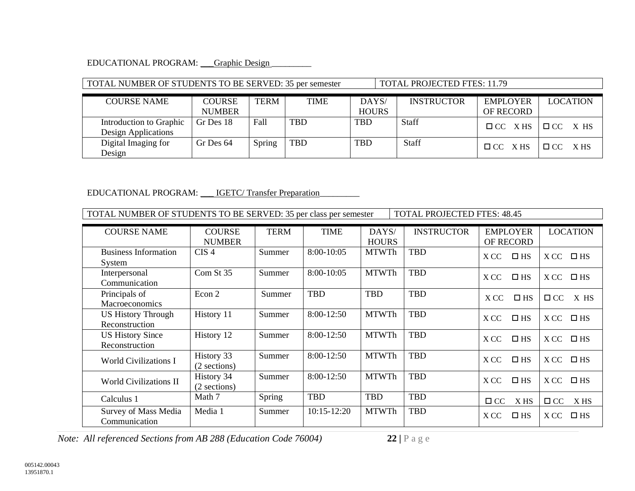#### EDUCATIONAL PROGRAM: \_\_\_Graphic Design

#### TOTAL NUMBER OF STUDENTS TO BE SERVED: 35 per semester TOTAL PROJECTED FTES: 11.79 COURSE NAME COURSE NUMBER TERM TIME DAYS/ **HOURS** INSTRUCTOR EMPLOYER OF RECORD LOCATION Introduction to Graphic Design Applications Gr Des 18 Fall TBD TBD Staff CC X HS CC X HS Digital Imaging for Design Gr Des 64 Spring TBD TBD Staff  $\Box$  CC X HS  $\Box$  CC X HS

#### EDUCATIONAL PROGRAM: \_\_\_ IGETC/ Transfer Preparation\_

TOTAL NUMBER OF STUDENTS TO BE SERVED: 35 per class per semester TOTAL PROJECTED FTES: 48.45

| <b>COURSE NAME</b>                          | <b>COURSE</b><br><b>NUMBER</b> | <b>TERM</b> | <b>TIME</b>     | DAYS/<br><b>HOURS</b> | <b>INSTRUCTOR</b> | <b>EMPLOYER</b><br>OF RECORD | <b>LOCATION</b>      |
|---------------------------------------------|--------------------------------|-------------|-----------------|-----------------------|-------------------|------------------------------|----------------------|
| <b>Business Information</b><br>System       | CIS <sub>4</sub>               | Summer      | $8:00-10:05$    | <b>MTWTh</b>          | <b>TBD</b>        | X CC<br>$\square$ HS         | X CC<br>$\square$ HS |
| Interpersonal<br>Communication              | Com St 35                      | Summer      | $8:00-10:05$    | <b>MTWTh</b>          | <b>TBD</b>        | $\square$ HS<br>X CC         | $\square$ HS<br>X CC |
| Principals of<br><b>Macroeconomics</b>      | Econ 2                         | Summer      | <b>TBD</b>      | <b>TBD</b>            | <b>TBD</b>        | $\square$ HS<br>X CC         | $\Box$ CC<br>X HS    |
| <b>US History Through</b><br>Reconstruction | History 11                     | Summer      | 8:00-12:50      | <b>MTWTh</b>          | <b>TBD</b>        | $\square$ HS<br>X CC         | X CC<br>$\square$ HS |
| <b>US History Since</b><br>Reconstruction   | History 12                     | Summer      | 8:00-12:50      | <b>MTWTh</b>          | <b>TBD</b>        | $\square$ HS<br>X CC         | X CC<br>$\square$ HS |
| <b>World Civilizations I</b>                | History 33<br>(2 sections)     | Summer      | 8:00-12:50      | <b>MTWTh</b>          | <b>TBD</b>        | $\square$ HS<br>X CC         | X CC<br>$\square$ HS |
| <b>World Civilizations II</b>               | History 34<br>(2 sections)     | Summer      | 8:00-12:50      | <b>MTWTh</b>          | <b>TBD</b>        | $\square$ HS<br>X CC         | $\square$ HS<br>X CC |
| Calculus 1                                  | Math 7                         | Spring      | <b>TBD</b>      | <b>TBD</b>            | <b>TBD</b>        | $\Box$ CC<br>X HS            | $\Box$ CC<br>X HS    |
| Survey of Mass Media<br>Communication       | Media 1                        | Summer      | $10:15 - 12:20$ | <b>MTWTh</b>          | <b>TBD</b>        | X CC<br>$\square$ HS         | X CC<br>$\square$ HS |

*Note: All referenced Sections from AB 288 (Education Code 76004)* **22** | P a g e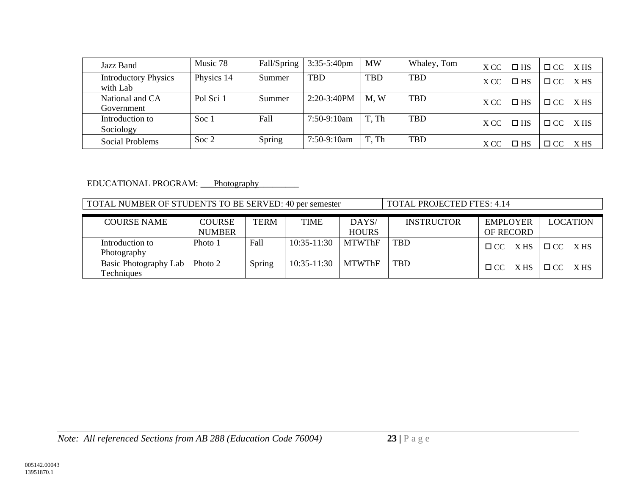| Jazz Band                               | Music 78   | Fall/Spring | $3:35-5:40$ pm | <b>MW</b>  | Whaley, Tom | X CC | $\square$ HS | $\Box$ CC | X HS |
|-----------------------------------------|------------|-------------|----------------|------------|-------------|------|--------------|-----------|------|
| <b>Introductory Physics</b><br>with Lab | Physics 14 | Summer      | <b>TBD</b>     | <b>TBD</b> | <b>TBD</b>  | X CC | $\square$ HS | $\Box$ CC | X HS |
| National and CA<br>Government           | Pol Sci 1  | Summer      | 2:20-3:40PM    | M, W       | <b>TBD</b>  | X CC | $\square$ HS | $\Box$ CC | X HS |
| Introduction to<br>Sociology            | Soc 1      | Fall        | $7:50-9:10am$  | T. Th      | <b>TBD</b>  | X CC | $\square$ HS | $\Box$ CC | X HS |
| <b>Social Problems</b>                  | Soc $2$    | Spring      | $7:50-9:10am$  | T, Th      | <b>TBD</b>  | X CC | $\square$ HS | $\Box$ CC | X HS |

#### EDUCATIONAL PROGRAM: Photography\_

TOTAL NUMBER OF STUDENTS TO BE SERVED: 40 per semester TOTAL PROJECTED FTES: 4.14

| <b>COURSE NAME</b>                  | <b>COURSE</b> | <b>TERM</b> | <b>TIME</b>   | DAYS/         | <b>INSTRUCTOR</b> | <b>EMPLOYER</b>   | <b>LOCATION</b>   |
|-------------------------------------|---------------|-------------|---------------|---------------|-------------------|-------------------|-------------------|
|                                     | <b>NUMBER</b> |             |               | <b>HOURS</b>  |                   | <b>OF RECORD</b>  |                   |
| Introduction to<br>Photography      | Photo 1       | Fall        | $10:35-11:30$ | <b>MTWThF</b> | <b>TBD</b>        | $\Box$ CC X HS    | $\Box$ CC XHS     |
| Basic Photography Lab<br>Techniques | Photo 2       | Spring      | $10:35-11:30$ | <b>MTWThF</b> | <b>TBD</b>        | X HS<br>$\Box$ CC | $\Box$ CC<br>X HS |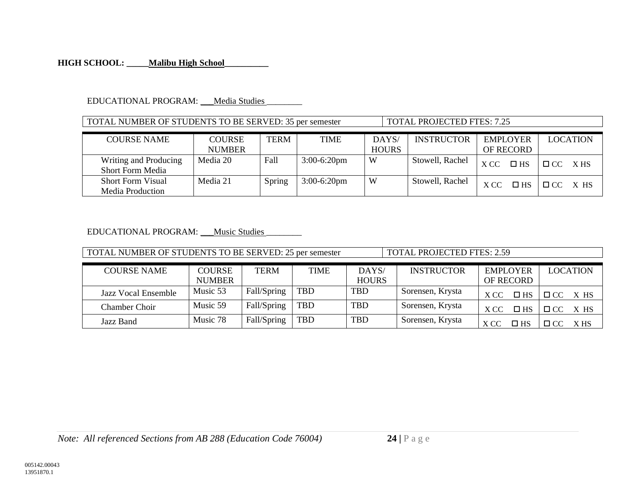#### **HIGH SCHOOL: \_\_\_\_\_Malibu High School\_\_\_\_\_\_\_\_\_\_**

#### EDUCATIONAL PROGRAM: \_\_\_ Media Studies

#### TOTAL NUMBER OF STUDENTS TO BE SERVED: 35 per semester TOTAL PROJECTED FTES: 7.25

| <b>COURSE NAME</b>                               | <b>COURSE</b> | TERM   | TIME           | DAYS/        | <b>INSTRUCTOR</b> | <b>EMPLOYER</b>      | <b>LOCATION</b>   |
|--------------------------------------------------|---------------|--------|----------------|--------------|-------------------|----------------------|-------------------|
|                                                  | <b>NUMBER</b> |        |                | <b>HOURS</b> |                   | <b>OF RECORD</b>     |                   |
| Writing and Producing<br><b>Short Form Media</b> | Media 20      | Fall   | $3:00-6:20$ pm | W            | Stowell, Rachel   | X CC<br>$\square$ HS | $\Box$ CC<br>X HS |
| <b>Short Form Visual</b><br>Media Production     | Media 21      | Spring | $3:00-6:20$ pm | W            | Stowell, Rachel   | X CC<br>$\Box$ HS    | $\Box$ CC<br>X HS |

#### EDUCATIONAL PROGRAM: \_\_\_\_Music Studies

TOTAL NUMBER OF STUDENTS TO BE SERVED: 25 per semester TOTAL PROJECTED FTES: 2.59

| <b>COURSE NAME</b>  | <b>COURSE</b> | <b>TERM</b> | TIME       | DAYS/        | <b>INSTRUCTOR</b> | <b>EMPLOYER</b>      | <b>LOCATION</b>   |
|---------------------|---------------|-------------|------------|--------------|-------------------|----------------------|-------------------|
|                     | <b>NUMBER</b> |             |            | <b>HOURS</b> |                   | OF RECORD            |                   |
| Jazz Vocal Ensemble | Music 53      | Fall/Spring | TBD        | TBD          | Sorensen, Krysta  | $\Box$ HS<br>X CC    | $\Box$ CC<br>X HS |
| Chamber Choir       | Music 59      | Fall/Spring | <b>TBD</b> | <b>TBD</b>   | Sorensen, Krysta  | X CC<br>$\Box$ HS    | $\Box$ CC<br>X HS |
| Jazz Band           | Music 78      | Fall/Spring | <b>TBD</b> | <b>TBD</b>   | Sorensen, Krysta  | X CC<br>$\square$ HS | $\Box$ CC<br>X HS |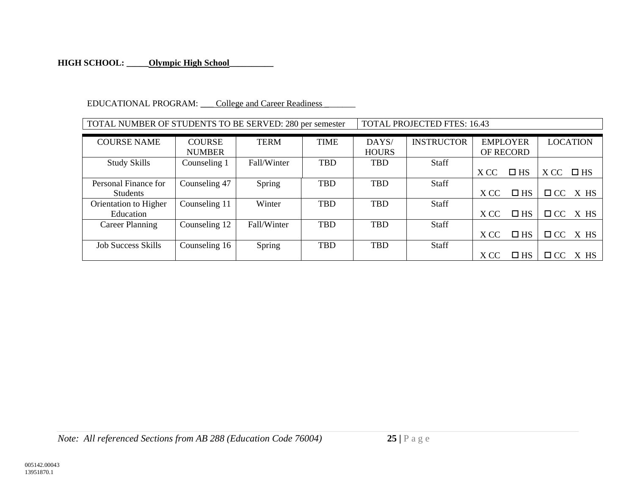## **HIGH SCHOOL: \_\_\_\_\_Olympic High School\_\_\_\_\_\_\_\_\_\_**

#### EDUCATIONAL PROGRAM: College and Career Readiness

| TOTAL NUMBER OF STUDENTS TO BE SERVED: 280 per semester | TOTAL PROJECTED FTES: 16.43 |
|---------------------------------------------------------|-----------------------------|
|---------------------------------------------------------|-----------------------------|

| <b>COURSE NAME</b>        | <b>COURSE</b> | <b>TERM</b> | <b>TIME</b> | DAYS/        | <b>INSTRUCTOR</b> |      | <b>EMPLOYER</b>  |           | <b>LOCATION</b> |
|---------------------------|---------------|-------------|-------------|--------------|-------------------|------|------------------|-----------|-----------------|
|                           | <b>NUMBER</b> |             |             | <b>HOURS</b> |                   |      | <b>OF RECORD</b> |           |                 |
| <b>Study Skills</b>       | Counseling 1  | Fall/Winter | <b>TBD</b>  | <b>TBD</b>   | <b>Staff</b>      |      |                  |           |                 |
|                           |               |             |             |              |                   | X CC | $\square$ HS     | X CC      | $\square$ HS    |
| Personal Finance for      | Counseling 47 | Spring      | <b>TBD</b>  | <b>TBD</b>   | <b>Staff</b>      |      |                  |           |                 |
| <b>Students</b>           |               |             |             |              |                   | X CC | $\Box$ HS        | $\Box$ CC | X HS            |
| Orientation to Higher     | Counseling 11 | Winter      | <b>TBD</b>  | <b>TBD</b>   | <b>Staff</b>      |      |                  |           |                 |
| Education                 |               |             |             |              |                   | X CC | $\square$ HS     |           | $\Box$ CC X HS  |
| Career Planning           | Counseling 12 | Fall/Winter | <b>TBD</b>  | <b>TBD</b>   | <b>Staff</b>      |      |                  |           |                 |
|                           |               |             |             |              |                   | X CC | $\square$ HS     |           | $\Box$ CC X HS  |
| <b>Job Success Skills</b> | Counseling 16 | Spring      | <b>TBD</b>  | <b>TBD</b>   | <b>Staff</b>      |      |                  |           |                 |
|                           |               |             |             |              |                   | X CC | $\Box$ HS        | $\Box$ CC | X HS            |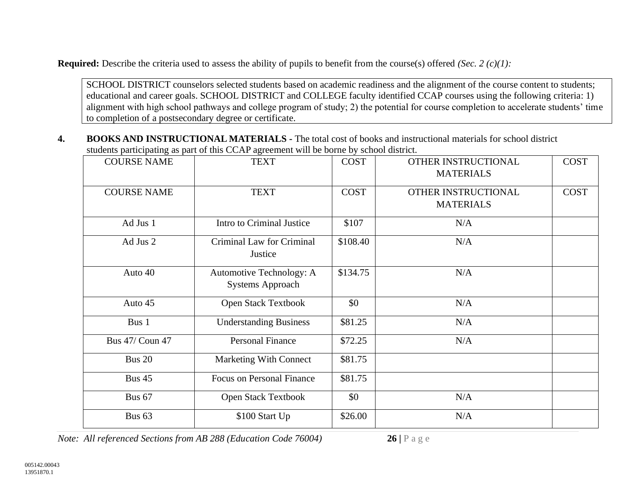**Required:** Describe the criteria used to assess the ability of pupils to benefit from the course(s) offered *(Sec. 2 (c)(1):*

SCHOOL DISTRICT counselors selected students based on academic readiness and the alignment of the course content to students; educational and career goals. SCHOOL DISTRICT and COLLEGE faculty identified CCAP courses using the following criteria: 1) alignment with high school pathways and college program of study; 2) the potential for course completion to accelerate students' time to completion of a postsecondary degree or certificate.

**4. BOOKS AND INSTRUCTIONAL MATERIALS -** The total cost of books and instructional materials for school district students participating as part of this CCAP agreement will be borne by school district.

| <b>COURSE NAME</b>     | <b>TEXT</b>                                         | <b>COST</b> | OTHER INSTRUCTIONAL<br><b>MATERIALS</b> | <b>COST</b> |
|------------------------|-----------------------------------------------------|-------------|-----------------------------------------|-------------|
| <b>COURSE NAME</b>     | <b>TEXT</b>                                         | <b>COST</b> | OTHER INSTRUCTIONAL<br><b>MATERIALS</b> | <b>COST</b> |
| Ad Jus 1               | Intro to Criminal Justice                           | \$107       | N/A                                     |             |
| Ad Jus 2               | Criminal Law for Criminal<br>Justice                | \$108.40    | N/A                                     |             |
| Auto 40                | Automotive Technology: A<br><b>Systems Approach</b> | \$134.75    | N/A                                     |             |
| Auto 45                | Open Stack Textbook                                 | \$0         | N/A                                     |             |
| Bus 1                  | <b>Understanding Business</b>                       | \$81.25     | N/A                                     |             |
| <b>Bus 47/ Coun 47</b> | <b>Personal Finance</b>                             | \$72.25     | N/A                                     |             |
| <b>Bus 20</b>          | <b>Marketing With Connect</b>                       | \$81.75     |                                         |             |
| <b>Bus 45</b>          | <b>Focus on Personal Finance</b>                    | \$81.75     |                                         |             |
| <b>Bus 67</b>          | <b>Open Stack Textbook</b>                          | \$0         | N/A                                     |             |
| Bus <sub>63</sub>      | \$100 Start Up                                      | \$26.00     | N/A                                     |             |

*Note: All referenced Sections from AB 288 (Education Code 76004)* **26 |** P a g e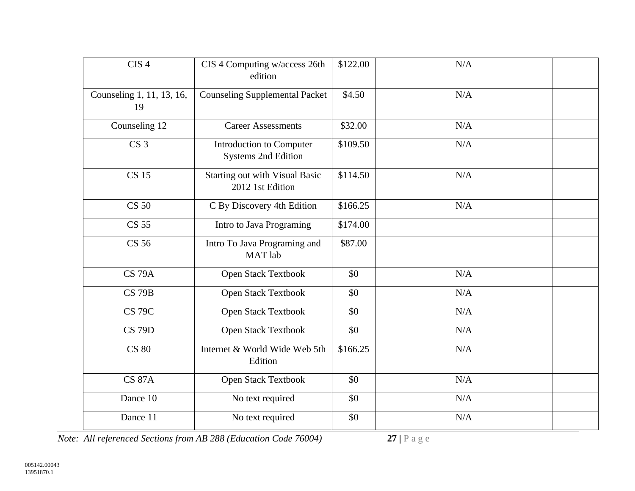| CIS <sub>4</sub>                | CIS 4 Computing w/access 26th<br>edition                  | \$122.00 | N/A |
|---------------------------------|-----------------------------------------------------------|----------|-----|
| Counseling 1, 11, 13, 16,<br>19 | <b>Counseling Supplemental Packet</b>                     | \$4.50   | N/A |
| Counseling 12                   | <b>Career Assessments</b>                                 | \$32.00  | N/A |
| CS <sub>3</sub>                 | Introduction to Computer<br><b>Systems 2nd Edition</b>    | \$109.50 | N/A |
| <b>CS 15</b>                    | <b>Starting out with Visual Basic</b><br>2012 1st Edition | \$114.50 | N/A |
| <b>CS 50</b>                    | C By Discovery 4th Edition                                | \$166.25 | N/A |
| <b>CS 55</b>                    | Intro to Java Programing                                  | \$174.00 |     |
| <b>CS 56</b>                    | Intro To Java Programing and<br>MAT lab                   | \$87.00  |     |
| <b>CS 79A</b>                   | Open Stack Textbook                                       | \$0      | N/A |
| <b>CS 79B</b>                   | Open Stack Textbook                                       | \$0      | N/A |
| <b>CS 79C</b>                   | Open Stack Textbook                                       | \$0      | N/A |
| <b>CS 79D</b>                   | Open Stack Textbook                                       | \$0      | N/A |
| <b>CS 80</b>                    | Internet & World Wide Web 5th<br>Edition                  | \$166.25 | N/A |
| <b>CS 87A</b>                   | Open Stack Textbook                                       | \$0      | N/A |
| Dance 10                        | No text required                                          | \$0      | N/A |
| Dance 11                        | No text required                                          | \$0      | N/A |

*Note: All referenced Sections from AB 288 (Education Code 76004)* **27** | P a g e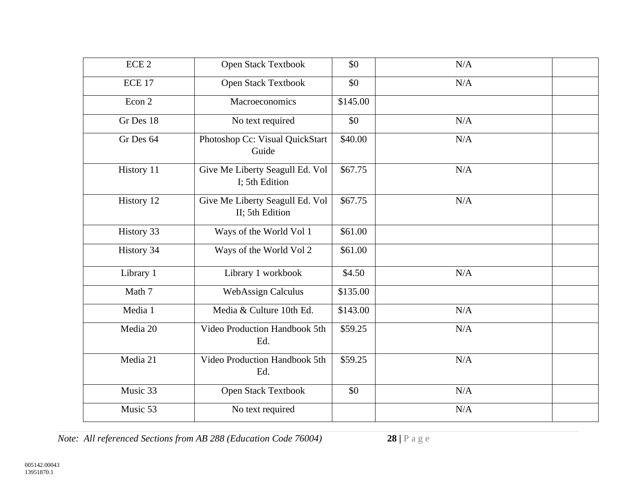| ECE <sub>2</sub> | <b>Open Stack Textbook</b>                         | \$0      | N/A |
|------------------|----------------------------------------------------|----------|-----|
| ECE 17           | Open Stack Textbook                                | \$0      | N/A |
| Econ 2           | Macroeconomics                                     | \$145.00 |     |
| Gr Des 18        | No text required                                   | \$0      | N/A |
| Gr Des 64        | Photoshop Cc: Visual QuickStart<br>Guide           | \$40.00  | N/A |
| History 11       | Give Me Liberty Seagull Ed. Vol<br>I; 5th Edition  | \$67.75  | N/A |
| History 12       | Give Me Liberty Seagull Ed. Vol<br>II; 5th Edition | \$67.75  | N/A |
| History 33       | Ways of the World Vol 1                            | \$61.00  |     |
| History 34       | Ways of the World Vol 2                            | \$61.00  |     |
| Library 1        | Library 1 workbook                                 | \$4.50   | N/A |
| Math 7           | <b>WebAssign Calculus</b>                          | \$135.00 |     |
| Media 1          | Media & Culture 10th Ed.                           | \$143.00 | N/A |
| Media 20         | Video Production Handbook 5th<br>Ed.               | \$59.25  | N/A |
| Media 21         | Video Production Handbook 5th<br>Ed.               | \$59.25  | N/A |
| Music 33         | Open Stack Textbook                                | \$0      | N/A |
| Music 53         | No text required                                   |          | N/A |

*Note: All referenced Sections from AB 288 (Education Code 76004)* **28** | P a g e